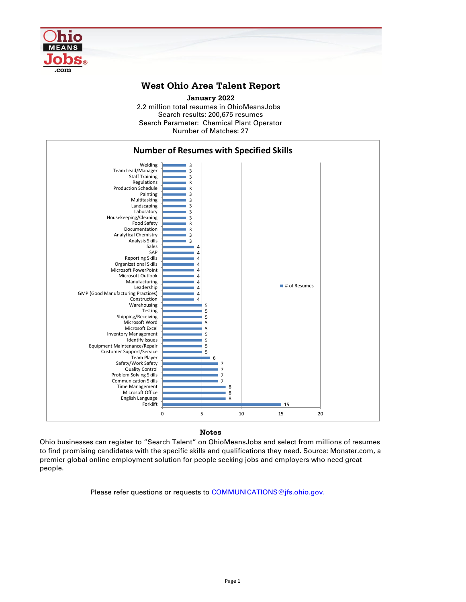Notes

Ohio businesses can register to "Search Talent" on OhioMeansJobs and select from millions of resumes to find promising candidates with the specific skills and qualifications they need. Source: Monster.com, a premier global online employment solution for people seeking jobs and employers who need great people.

Please refer questions or requests to **COMMUNICATIONS**@jfs.ohio.gov.



## **West Ohio Area Talent Report**

2.2 million total resumes in OhioMeansJobs Search results: 200,675 resumes Number of Matches: 27 **January 2022** Search Parameter: Chemical Plant Operator